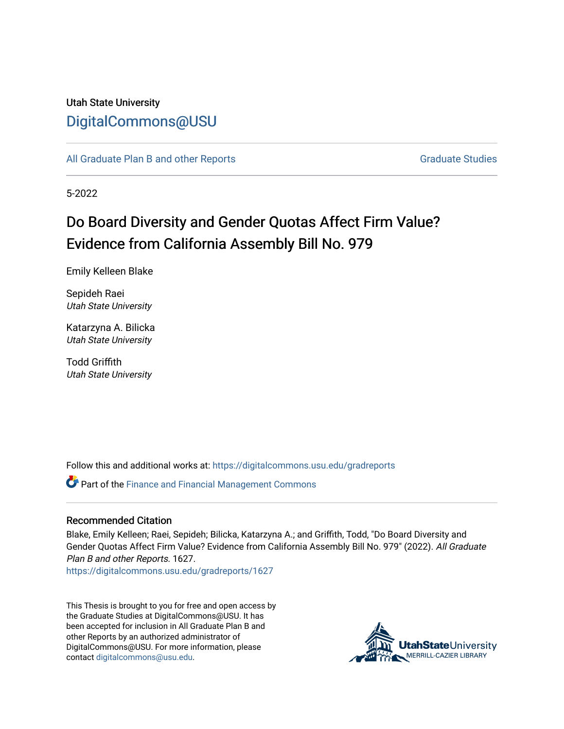## Utah State University [DigitalCommons@USU](https://digitalcommons.usu.edu/)

[All Graduate Plan B and other Reports](https://digitalcommons.usu.edu/gradreports) **Graduate Studies** Graduate Studies

5-2022

# Do Board Diversity and Gender Quotas Affect Firm Value? Evidence from California Assembly Bill No. 979

Emily Kelleen Blake

Sepideh Raei Utah State University

Katarzyna A. Bilicka Utah State University

Todd Griffith Utah State University

Follow this and additional works at: [https://digitalcommons.usu.edu/gradreports](https://digitalcommons.usu.edu/gradreports?utm_source=digitalcommons.usu.edu%2Fgradreports%2F1627&utm_medium=PDF&utm_campaign=PDFCoverPages)

Part of the [Finance and Financial Management Commons](http://network.bepress.com/hgg/discipline/631?utm_source=digitalcommons.usu.edu%2Fgradreports%2F1627&utm_medium=PDF&utm_campaign=PDFCoverPages) 

#### Recommended Citation

Blake, Emily Kelleen; Raei, Sepideh; Bilicka, Katarzyna A.; and Griffith, Todd, "Do Board Diversity and Gender Quotas Affect Firm Value? Evidence from California Assembly Bill No. 979" (2022). All Graduate Plan B and other Reports. 1627.

[https://digitalcommons.usu.edu/gradreports/1627](https://digitalcommons.usu.edu/gradreports/1627?utm_source=digitalcommons.usu.edu%2Fgradreports%2F1627&utm_medium=PDF&utm_campaign=PDFCoverPages) 

This Thesis is brought to you for free and open access by the Graduate Studies at DigitalCommons@USU. It has been accepted for inclusion in All Graduate Plan B and other Reports by an authorized administrator of DigitalCommons@USU. For more information, please contact [digitalcommons@usu.edu](mailto:digitalcommons@usu.edu).

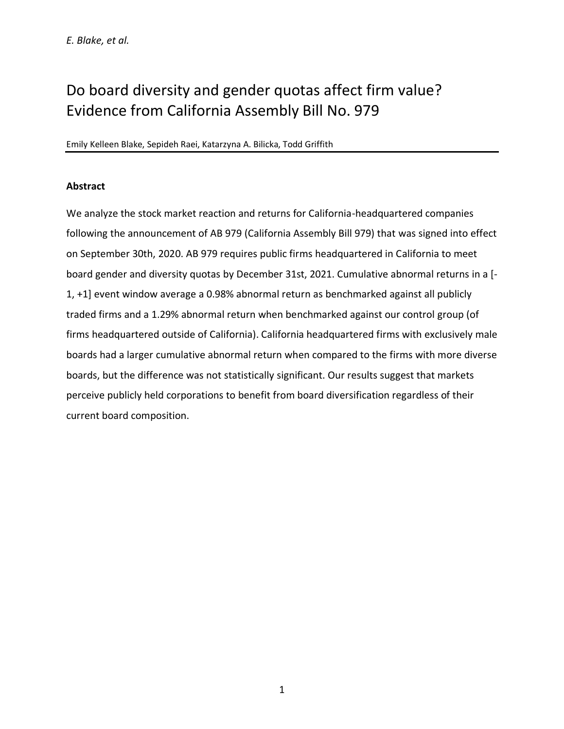# Do board diversity and gender quotas affect firm value? Evidence from California Assembly Bill No. 979

#### Emily Kelleen Blake, Sepideh Raei, Katarzyna A. Bilicka, Todd Griffith

### **Abstract**

We analyze the stock market reaction and returns for California-headquartered companies following the announcement of AB 979 (California Assembly Bill 979) that was signed into effect on September 30th, 2020. AB 979 requires public firms headquartered in California to meet board gender and diversity quotas by December 31st, 2021. Cumulative abnormal returns in a [- 1, +1] event window average a 0.98% abnormal return as benchmarked against all publicly traded firms and a 1.29% abnormal return when benchmarked against our control group (of firms headquartered outside of California). California headquartered firms with exclusively male boards had a larger cumulative abnormal return when compared to the firms with more diverse boards, but the difference was not statistically significant. Our results suggest that markets perceive publicly held corporations to benefit from board diversification regardless of their current board composition.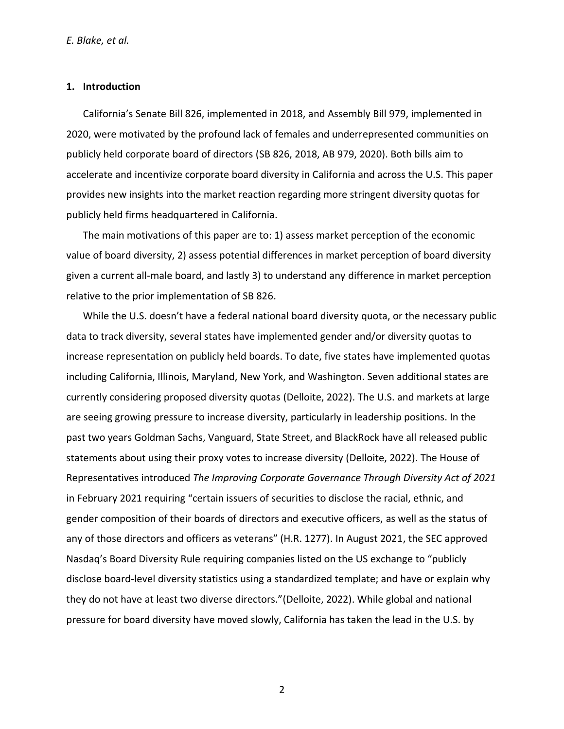#### **1. Introduction**

California's Senate Bill 826, implemented in 2018, and Assembly Bill 979, implemented in 2020, were motivated by the profound lack of females and underrepresented communities on publicly held corporate board of directors (SB 826, 2018, AB 979, 2020). Both bills aim to accelerate and incentivize corporate board diversity in California and across the U.S. This paper provides new insights into the market reaction regarding more stringent diversity quotas for publicly held firms headquartered in California.

The main motivations of this paper are to: 1) assess market perception of the economic value of board diversity, 2) assess potential differences in market perception of board diversity given a current all-male board, and lastly 3) to understand any difference in market perception relative to the prior implementation of SB 826.

While the U.S. doesn't have a federal national board diversity quota, or the necessary public data to track diversity, several states have implemented gender and/or diversity quotas to increase representation on publicly held boards. To date, five states have implemented quotas including California, Illinois, Maryland, New York, and Washington. Seven additional states are currently considering proposed diversity quotas (Delloite, 2022). The U.S. and markets at large are seeing growing pressure to increase diversity, particularly in leadership positions. In the past two years Goldman Sachs, Vanguard, State Street, and BlackRock have all released public statements about using their proxy votes to increase diversity (Delloite, 2022). The House of Representatives introduced *The Improving Corporate Governance Through Diversity Act of 2021* in February 2021 requiring "certain issuers of securities to disclose the racial, ethnic, and gender composition of their boards of directors and executive officers, as well as the status of any of those directors and officers as veterans" (H.R. 1277). In August 2021, the SEC approved Nasdaq's Board Diversity Rule requiring companies listed on the US exchange to "publicly disclose board-level diversity statistics using a standardized template; and have or explain why they do not have at least two diverse directors."(Delloite, 2022). While global and national pressure for board diversity have moved slowly, California has taken the lead in the U.S. by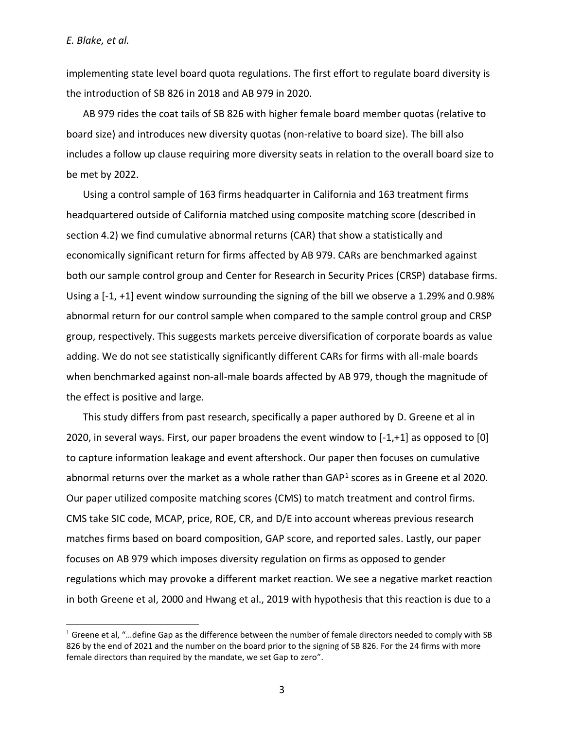implementing state level board quota regulations. The first effort to regulate board diversity is the introduction of SB 826 in 2018 and AB 979 in 2020.

AB 979 rides the coat tails of SB 826 with higher female board member quotas (relative to board size) and introduces new diversity quotas (non-relative to board size). The bill also includes a follow up clause requiring more diversity seats in relation to the overall board size to be met by 2022.

Using a control sample of 163 firms headquarter in California and 163 treatment firms headquartered outside of California matched using composite matching score (described in section 4.2) we find cumulative abnormal returns (CAR) that show a statistically and economically significant return for firms affected by AB 979. CARs are benchmarked against both our sample control group and Center for Research in Security Prices (CRSP) database firms. Using a [-1, +1] event window surrounding the signing of the bill we observe a 1.29% and 0.98% abnormal return for our control sample when compared to the sample control group and CRSP group, respectively. This suggests markets perceive diversification of corporate boards as value adding. We do not see statistically significantly different CARs for firms with all-male boards when benchmarked against non-all-male boards affected by AB 979, though the magnitude of the effect is positive and large.

This study differs from past research, specifically a paper authored by D. Greene et al in 2020, in several ways. First, our paper broadens the event window to [-1,+1] as opposed to [0] to capture information leakage and event aftershock. Our paper then focuses on cumulative abnormal returns over the market as a whole rather than GAP<sup>1</sup> scores as in Greene et al 2020. Our paper utilized composite matching scores (CMS) to match treatment and control firms. CMS take SIC code, MCAP, price, ROE, CR, and D/E into account whereas previous research matches firms based on board composition, GAP score, and reported sales. Lastly, our paper focuses on AB 979 which imposes diversity regulation on firms as opposed to gender regulations which may provoke a different market reaction. We see a negative market reaction in both Greene et al, 2000 and Hwang et al., 2019 with hypothesis that this reaction is due to a

<sup>&</sup>lt;sup>1</sup> Greene et al, "...define Gap as the difference between the number of female directors needed to comply with SB 826 by the end of 2021 and the number on the board prior to the signing of SB 826. For the 24 firms with more female directors than required by the mandate, we set Gap to zero".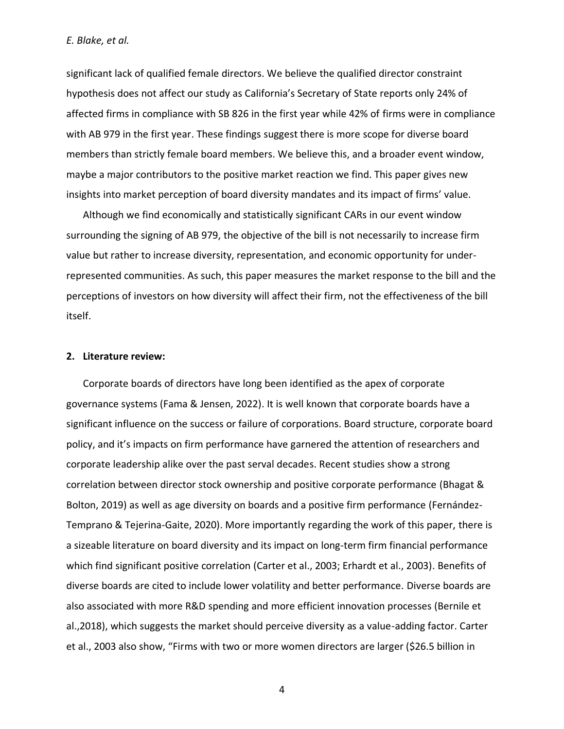significant lack of qualified female directors. We believe the qualified director constraint hypothesis does not affect our study as California's Secretary of State reports only 24% of affected firms in compliance with SB 826 in the first year while 42% of firms were in compliance with AB 979 in the first year. These findings suggest there is more scope for diverse board members than strictly female board members. We believe this, and a broader event window, maybe a major contributors to the positive market reaction we find. This paper gives new insights into market perception of board diversity mandates and its impact of firms' value.

Although we find economically and statistically significant CARs in our event window surrounding the signing of AB 979, the objective of the bill is not necessarily to increase firm value but rather to increase diversity, representation, and economic opportunity for underrepresented communities. As such, this paper measures the market response to the bill and the perceptions of investors on how diversity will affect their firm, not the effectiveness of the bill itself.

#### **2. Literature review:**

Corporate boards of directors have long been identified as the apex of corporate governance systems (Fama & Jensen, 2022). It is well known that corporate boards have a significant influence on the success or failure of corporations. Board structure, corporate board policy, and it's impacts on firm performance have garnered the attention of researchers and corporate leadership alike over the past serval decades. Recent studies show a strong correlation between director stock ownership and positive corporate performance (Bhagat & Bolton, 2019) as well as age diversity on boards and a positive firm performance (Fernández-Temprano & Tejerina-Gaite, 2020). More importantly regarding the work of this paper, there is a sizeable literature on board diversity and its impact on long-term firm financial performance which find significant positive correlation (Carter et al., 2003; Erhardt et al., 2003). Benefits of diverse boards are cited to include lower volatility and better performance. Diverse boards are also associated with more R&D spending and more efficient innovation processes (Bernile et al.,2018), which suggests the market should perceive diversity as a value-adding factor. Carter et al., 2003 also show, "Firms with two or more women directors are larger (\$26.5 billion in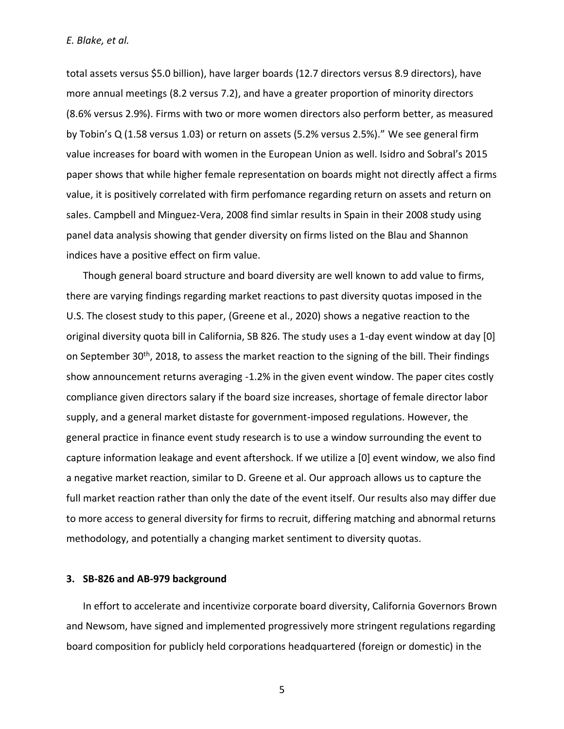total assets versus \$5.0 billion), have larger boards (12.7 directors versus 8.9 directors), have more annual meetings (8.2 versus 7.2), and have a greater proportion of minority directors (8.6% versus 2.9%). Firms with two or more women directors also perform better, as measured by Tobin's Q (1.58 versus 1.03) or return on assets (5.2% versus 2.5%)." We see general firm value increases for board with women in the European Union as well. Isidro and Sobral's 2015 paper shows that while higher female representation on boards might not directly affect a firms value, it is positively correlated with firm perfomance regarding return on assets and return on sales. Campbell and Minguez-Vera, 2008 find simlar results in Spain in their 2008 study using panel data analysis showing that gender diversity on firms listed on the Blau and Shannon indices have a positive effect on firm value.

Though general board structure and board diversity are well known to add value to firms, there are varying findings regarding market reactions to past diversity quotas imposed in the U.S. The closest study to this paper, (Greene et al., 2020) shows a negative reaction to the original diversity quota bill in California, SB 826. The study uses a 1-day event window at day [0] on September 30<sup>th</sup>, 2018, to assess the market reaction to the signing of the bill. Their findings show announcement returns averaging -1.2% in the given event window. The paper cites costly compliance given directors salary if the board size increases, shortage of female director labor supply, and a general market distaste for government-imposed regulations. However, the general practice in finance event study research is to use a window surrounding the event to capture information leakage and event aftershock. If we utilize a [0] event window, we also find a negative market reaction, similar to D. Greene et al. Our approach allows us to capture the full market reaction rather than only the date of the event itself. Our results also may differ due to more access to general diversity for firms to recruit, differing matching and abnormal returns methodology, and potentially a changing market sentiment to diversity quotas.

#### **3. SB-826 and AB-979 background**

In effort to accelerate and incentivize corporate board diversity, California Governors Brown and Newsom, have signed and implemented progressively more stringent regulations regarding board composition for publicly held corporations headquartered (foreign or domestic) in the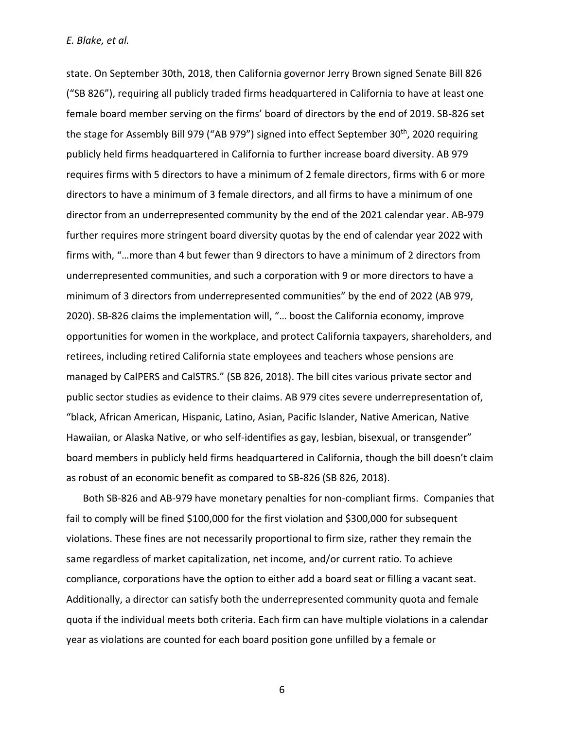state. On September 30th, 2018, then California governor Jerry Brown signed Senate Bill 826 ("SB 826"), requiring all publicly traded firms headquartered in California to have at least one female board member serving on the firms' board of directors by the end of 2019. SB-826 set the stage for Assembly Bill 979 ("AB 979") signed into effect September 30<sup>th</sup>, 2020 requiring publicly held firms headquartered in California to further increase board diversity. AB 979 requires firms with 5 directors to have a minimum of 2 female directors, firms with 6 or more directors to have a minimum of 3 female directors, and all firms to have a minimum of one director from an underrepresented community by the end of the 2021 calendar year. AB-979 further requires more stringent board diversity quotas by the end of calendar year 2022 with firms with, "…more than 4 but fewer than 9 directors to have a minimum of 2 directors from underrepresented communities, and such a corporation with 9 or more directors to have a minimum of 3 directors from underrepresented communities" by the end of 2022 (AB 979, 2020). SB-826 claims the implementation will, "… boost the California economy, improve opportunities for women in the workplace, and protect California taxpayers, shareholders, and retirees, including retired California state employees and teachers whose pensions are managed by CalPERS and CalSTRS." (SB 826, 2018). The bill cites various private sector and public sector studies as evidence to their claims. AB 979 cites severe underrepresentation of, "black, African American, Hispanic, Latino, Asian, Pacific Islander, Native American, Native Hawaiian, or Alaska Native, or who self-identifies as gay, lesbian, bisexual, or transgender" board members in publicly held firms headquartered in California, though the bill doesn't claim as robust of an economic benefit as compared to SB-826 (SB 826, 2018).

Both SB-826 and AB-979 have monetary penalties for non-compliant firms. Companies that fail to comply will be fined \$100,000 for the first violation and \$300,000 for subsequent violations. These fines are not necessarily proportional to firm size, rather they remain the same regardless of market capitalization, net income, and/or current ratio. To achieve compliance, corporations have the option to either add a board seat or filling a vacant seat. Additionally, a director can satisfy both the underrepresented community quota and female quota if the individual meets both criteria. Each firm can have multiple violations in a calendar year as violations are counted for each board position gone unfilled by a female or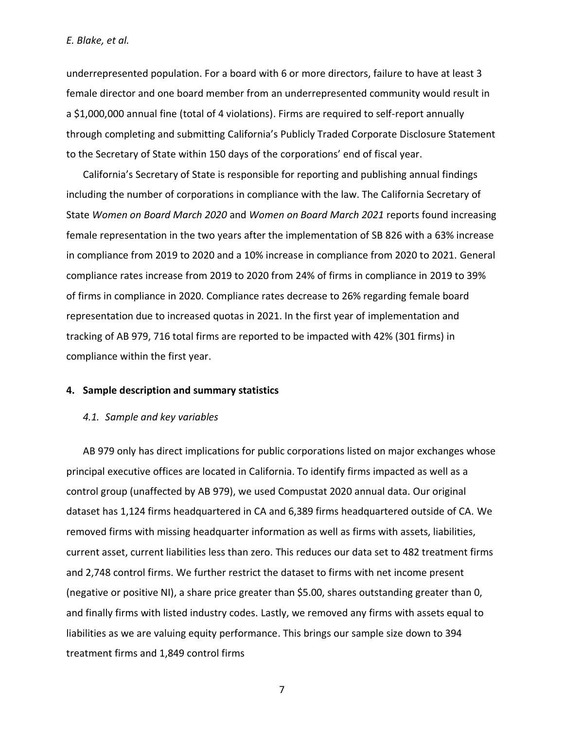underrepresented population. For a board with 6 or more directors, failure to have at least 3 female director and one board member from an underrepresented community would result in a \$1,000,000 annual fine (total of 4 violations). Firms are required to self-report annually through completing and submitting California's Publicly Traded Corporate Disclosure Statement to the Secretary of State within 150 days of the corporations' end of fiscal year.

California's Secretary of State is responsible for reporting and publishing annual findings including the number of corporations in compliance with the law. The California Secretary of State *Women on Board March 2020* and *Women on Board March 2021* reports found increasing female representation in the two years after the implementation of SB 826 with a 63% increase in compliance from 2019 to 2020 and a 10% increase in compliance from 2020 to 2021. General compliance rates increase from 2019 to 2020 from 24% of firms in compliance in 2019 to 39% of firms in compliance in 2020. Compliance rates decrease to 26% regarding female board representation due to increased quotas in 2021. In the first year of implementation and tracking of AB 979, 716 total firms are reported to be impacted with 42% (301 firms) in compliance within the first year.

#### **4. Sample description and summary statistics**

#### *4.1. Sample and key variables*

AB 979 only has direct implications for public corporations listed on major exchanges whose principal executive offices are located in California. To identify firms impacted as well as a control group (unaffected by AB 979), we used Compustat 2020 annual data. Our original dataset has 1,124 firms headquartered in CA and 6,389 firms headquartered outside of CA. We removed firms with missing headquarter information as well as firms with assets, liabilities, current asset, current liabilities less than zero. This reduces our data set to 482 treatment firms and 2,748 control firms. We further restrict the dataset to firms with net income present (negative or positive NI), a share price greater than \$5.00, shares outstanding greater than 0, and finally firms with listed industry codes. Lastly, we removed any firms with assets equal to liabilities as we are valuing equity performance. This brings our sample size down to 394 treatment firms and 1,849 control firms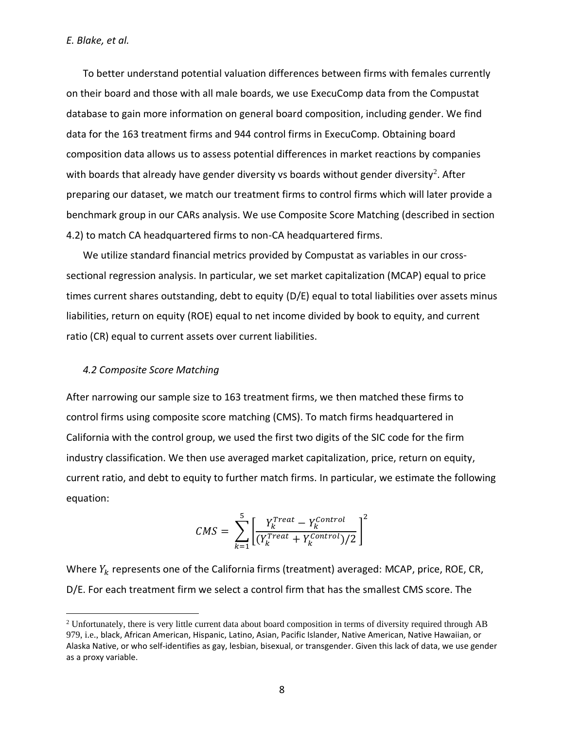To better understand potential valuation differences between firms with females currently on their board and those with all male boards, we use ExecuComp data from the Compustat database to gain more information on general board composition, including gender. We find data for the 163 treatment firms and 944 control firms in ExecuComp. Obtaining board composition data allows us to assess potential differences in market reactions by companies with boards that already have gender diversity vs boards without gender diversity<sup>2</sup>. After preparing our dataset, we match our treatment firms to control firms which will later provide a benchmark group in our CARs analysis. We use Composite Score Matching (described in section 4.2) to match CA headquartered firms to non-CA headquartered firms.

We utilize standard financial metrics provided by Compustat as variables in our crosssectional regression analysis. In particular, we set market capitalization (MCAP) equal to price times current shares outstanding, debt to equity (D/E) equal to total liabilities over assets minus liabilities, return on equity (ROE) equal to net income divided by book to equity, and current ratio (CR) equal to current assets over current liabilities.

#### *4.2 Composite Score Matching*

After narrowing our sample size to 163 treatment firms, we then matched these firms to control firms using composite score matching (CMS). To match firms headquartered in California with the control group, we used the first two digits of the SIC code for the firm industry classification. We then use averaged market capitalization, price, return on equity, current ratio, and debt to equity to further match firms. In particular, we estimate the following equation:

$$
CMS = \sum_{k=1}^{5} \left[ \frac{Y_k^{Treat} - Y_k^{Control}}{(Y_k^{Treat} + Y_k^{Control})/2} \right]^2
$$

Where  $Y_k$  represents one of the California firms (treatment) averaged: MCAP, price, ROE, CR, D/E. For each treatment firm we select a control firm that has the smallest CMS score. The

<sup>&</sup>lt;sup>2</sup> Unfortunately, there is very little current data about board composition in terms of diversity required through AB 979, i.e., black, African American, Hispanic, Latino, Asian, Pacific Islander, Native American, Native Hawaiian, or Alaska Native, or who self-identifies as gay, lesbian, bisexual, or transgender. Given this lack of data, we use gender as a proxy variable.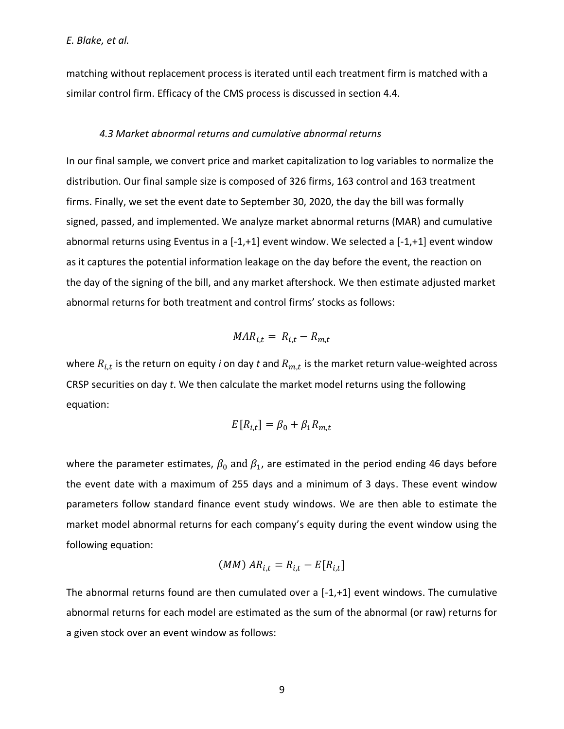matching without replacement process is iterated until each treatment firm is matched with a similar control firm. Efficacy of the CMS process is discussed in section 4.4.

#### *4.3 Market abnormal returns and cumulative abnormal returns*

In our final sample, we convert price and market capitalization to log variables to normalize the distribution. Our final sample size is composed of 326 firms, 163 control and 163 treatment firms. Finally, we set the event date to September 30, 2020, the day the bill was formally signed, passed, and implemented. We analyze market abnormal returns (MAR) and cumulative abnormal returns using Eventus in a [-1,+1] event window. We selected a [-1,+1] event window as it captures the potential information leakage on the day before the event, the reaction on the day of the signing of the bill, and any market aftershock. We then estimate adjusted market abnormal returns for both treatment and control firms' stocks as follows:

$$
MAR_{i,t} = R_{i,t} - R_{m,t}
$$

where  $R_{i,t}$  is the return on equity *i* on day *t* and  $R_{m,t}$  is the market return value-weighted across CRSP securities on day *t*. We then calculate the market model returns using the following equation:

$$
E[R_{i,t}] = \beta_0 + \beta_1 R_{m,t}
$$

where the parameter estimates,  $\beta_0$  and  $\beta_1$ , are estimated in the period ending 46 days before the event date with a maximum of 255 days and a minimum of 3 days. These event window parameters follow standard finance event study windows. We are then able to estimate the market model abnormal returns for each company's equity during the event window using the following equation:

$$
(MM) AR_{i,t} = R_{i,t} - E[R_{i,t}]
$$

The abnormal returns found are then cumulated over a [-1,+1] event windows. The cumulative abnormal returns for each model are estimated as the sum of the abnormal (or raw) returns for a given stock over an event window as follows: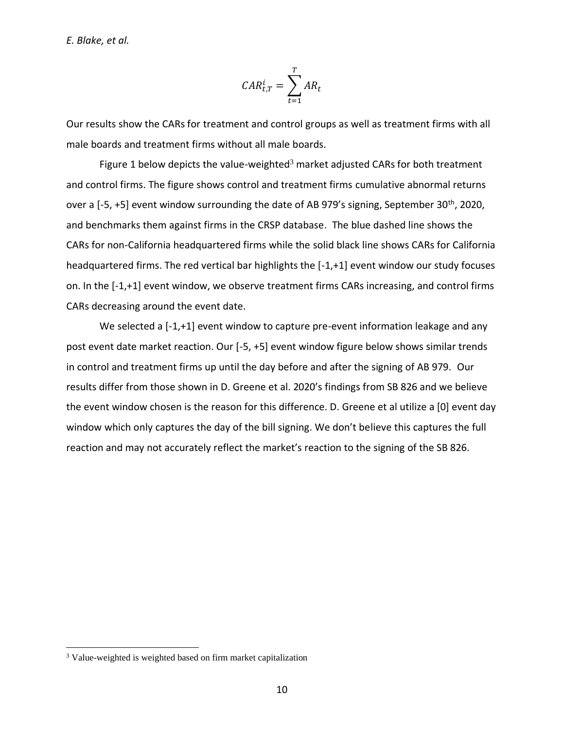$$
CAR_{t,T}^i = \sum_{t=1}^T AR_t
$$

Our results show the CARs for treatment and control groups as well as treatment firms with all male boards and treatment firms without all male boards.

Figure 1 below depicts the value-weighted<sup>3</sup> market adjusted CARs for both treatment and control firms. The figure shows control and treatment firms cumulative abnormal returns over a [-5, +5] event window surrounding the date of AB 979's signing, September 30<sup>th</sup>, 2020, and benchmarks them against firms in the CRSP database. The blue dashed line shows the CARs for non-California headquartered firms while the solid black line shows CARs for California headquartered firms. The red vertical bar highlights the [-1,+1] event window our study focuses on. In the [-1,+1] event window, we observe treatment firms CARs increasing, and control firms CARs decreasing around the event date.

We selected a [-1,+1] event window to capture pre-event information leakage and any post event date market reaction. Our [-5, +5] event window figure below shows similar trends in control and treatment firms up until the day before and after the signing of AB 979. Our results differ from those shown in D. Greene et al. 2020's findings from SB 826 and we believe the event window chosen is the reason for this difference. D. Greene et al utilize a [0] event day window which only captures the day of the bill signing. We don't believe this captures the full reaction and may not accurately reflect the market's reaction to the signing of the SB 826.

<sup>&</sup>lt;sup>3</sup> Value-weighted is weighted based on firm market capitalization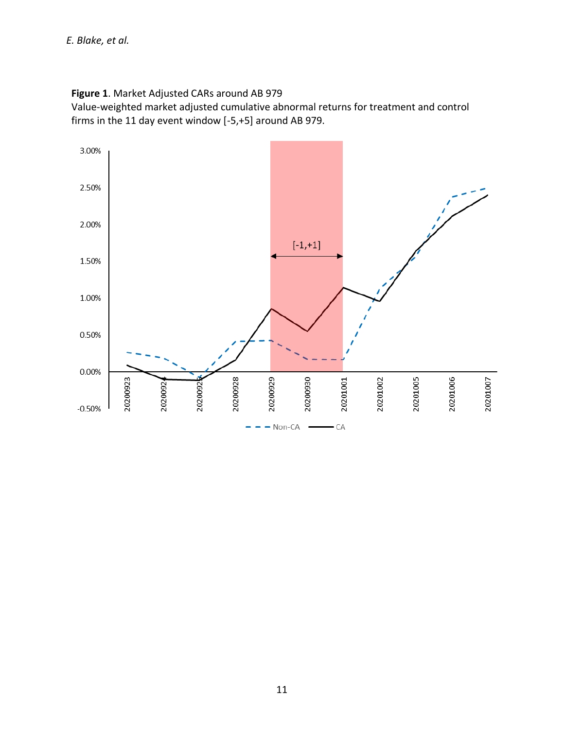## **Figure 1**. Market Adjusted CARs around AB 979 Value-weighted market adjusted cumulative abnormal returns for treatment and control firms in the 11 day event window [-5,+5] around AB 979.

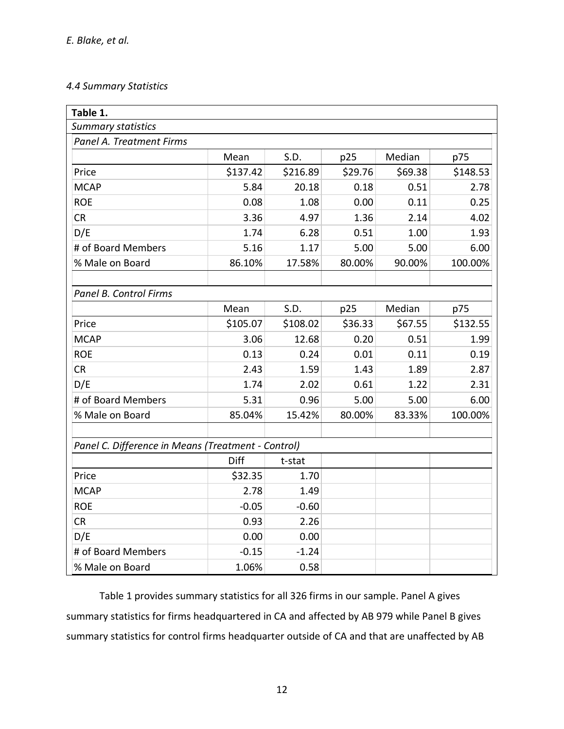## *4.4 Summary Statistics*

| Table 1.                                           |          |          |         |         |          |  |  |
|----------------------------------------------------|----------|----------|---------|---------|----------|--|--|
| <b>Summary statistics</b>                          |          |          |         |         |          |  |  |
| Panel A. Treatment Firms                           |          |          |         |         |          |  |  |
|                                                    | Mean     | S.D.     | p25     | Median  | p75      |  |  |
| Price                                              | \$137.42 | \$216.89 | \$29.76 | \$69.38 | \$148.53 |  |  |
| <b>MCAP</b>                                        | 5.84     | 20.18    | 0.18    | 0.51    | 2.78     |  |  |
| <b>ROE</b>                                         | 0.08     | 1.08     | 0.00    | 0.11    | 0.25     |  |  |
| CR                                                 | 3.36     | 4.97     | 1.36    | 2.14    | 4.02     |  |  |
| D/E                                                | 1.74     | 6.28     | 0.51    | 1.00    | 1.93     |  |  |
| # of Board Members                                 | 5.16     | 1.17     | 5.00    | 5.00    | 6.00     |  |  |
| % Male on Board                                    | 86.10%   | 17.58%   | 80.00%  | 90.00%  | 100.00%  |  |  |
|                                                    |          |          |         |         |          |  |  |
| Panel B. Control Firms                             |          |          |         |         |          |  |  |
|                                                    | Mean     | S.D.     | p25     | Median  | p75      |  |  |
| Price                                              | \$105.07 | \$108.02 | \$36.33 | \$67.55 | \$132.55 |  |  |
| <b>MCAP</b>                                        | 3.06     | 12.68    | 0.20    | 0.51    | 1.99     |  |  |
| <b>ROE</b>                                         | 0.13     | 0.24     | 0.01    | 0.11    | 0.19     |  |  |
| <b>CR</b>                                          | 2.43     | 1.59     | 1.43    | 1.89    | 2.87     |  |  |
| D/E                                                | 1.74     | 2.02     | 0.61    | 1.22    | 2.31     |  |  |
| # of Board Members                                 | 5.31     | 0.96     | 5.00    | 5.00    | 6.00     |  |  |
| % Male on Board                                    | 85.04%   | 15.42%   | 80.00%  | 83.33%  | 100.00%  |  |  |
|                                                    |          |          |         |         |          |  |  |
| Panel C. Difference in Means (Treatment - Control) |          |          |         |         |          |  |  |
|                                                    | Diff     | t-stat   |         |         |          |  |  |
| Price                                              | \$32.35  | 1.70     |         |         |          |  |  |
| <b>MCAP</b>                                        | 2.78     | 1.49     |         |         |          |  |  |
| <b>ROE</b>                                         | $-0.05$  | $-0.60$  |         |         |          |  |  |
| <b>CR</b>                                          | 0.93     | 2.26     |         |         |          |  |  |
| D/E                                                | 0.00     | 0.00     |         |         |          |  |  |
| # of Board Members                                 | $-0.15$  | $-1.24$  |         |         |          |  |  |
| % Male on Board                                    | 1.06%    | 0.58     |         |         |          |  |  |

Table 1 provides summary statistics for all 326 firms in our sample. Panel A gives summary statistics for firms headquartered in CA and affected by AB 979 while Panel B gives summary statistics for control firms headquarter outside of CA and that are unaffected by AB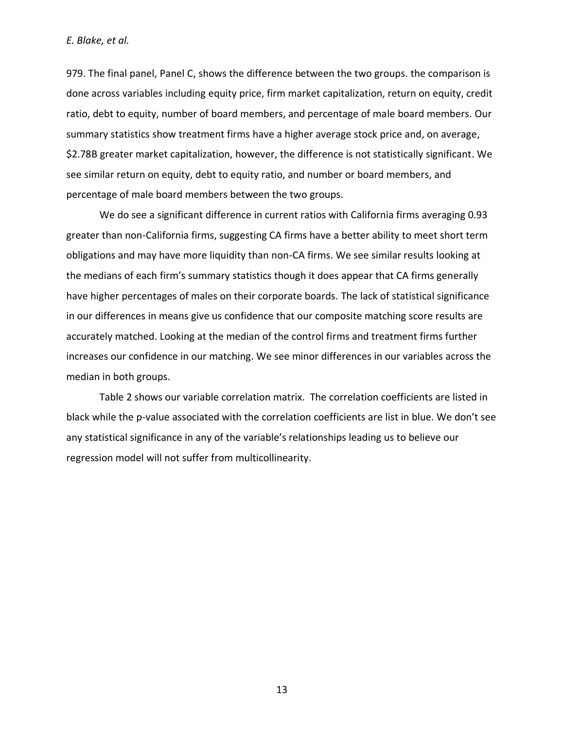979. The final panel, Panel C, shows the difference between the two groups. the comparison is done across variables including equity price, firm market capitalization, return on equity, credit ratio, debt to equity, number of board members, and percentage of male board members. Our summary statistics show treatment firms have a higher average stock price and, on average, \$2.78B greater market capitalization, however, the difference is not statistically significant. We see similar return on equity, debt to equity ratio, and number or board members, and percentage of male board members between the two groups.

We do see a significant difference in current ratios with California firms averaging 0.93 greater than non-California firms, suggesting CA firms have a better ability to meet short term obligations and may have more liquidity than non-CA firms. We see similar results looking at the medians of each firm's summary statistics though it does appear that CA firms generally have higher percentages of males on their corporate boards. The lack of statistical significance in our differences in means give us confidence that our composite matching score results are accurately matched. Looking at the median of the control firms and treatment firms further increases our confidence in our matching. We see minor differences in our variables across the median in both groups.

Table 2 shows our variable correlation matrix. The correlation coefficients are listed in black while the p-value associated with the correlation coefficients are list in blue. We don't see any statistical significance in any of the variable's relationships leading us to believe our regression model will not suffer from multicollinearity.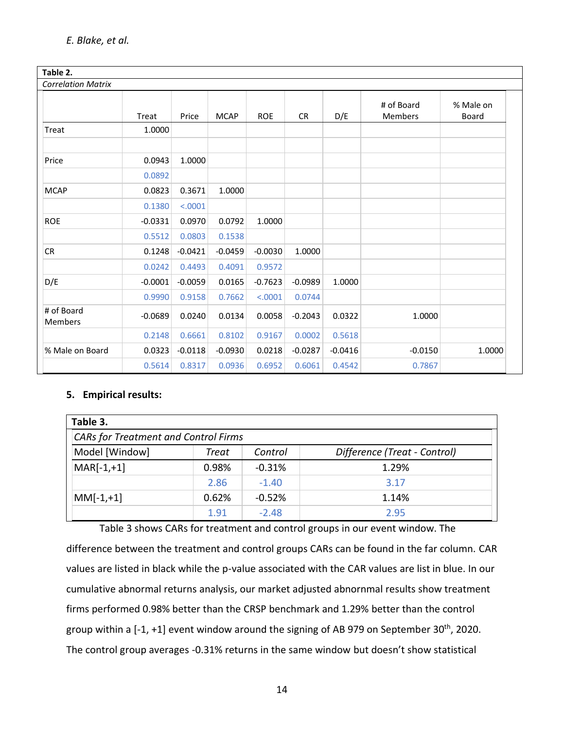| Table 2.                     |           |           |             |            |           |           |                       |                    |
|------------------------------|-----------|-----------|-------------|------------|-----------|-----------|-----------------------|--------------------|
| <b>Correlation Matrix</b>    |           |           |             |            |           |           |                       |                    |
|                              | Treat     | Price     | <b>MCAP</b> | <b>ROE</b> | <b>CR</b> | D/E       | # of Board<br>Members | % Male on<br>Board |
| Treat                        | 1.0000    |           |             |            |           |           |                       |                    |
|                              |           |           |             |            |           |           |                       |                    |
| Price                        | 0.0943    | 1.0000    |             |            |           |           |                       |                    |
|                              | 0.0892    |           |             |            |           |           |                       |                    |
| <b>MCAP</b>                  | 0.0823    | 0.3671    | 1.0000      |            |           |           |                       |                    |
|                              | 0.1380    | < .0001   |             |            |           |           |                       |                    |
| <b>ROE</b>                   | $-0.0331$ | 0.0970    | 0.0792      | 1.0000     |           |           |                       |                    |
|                              | 0.5512    | 0.0803    | 0.1538      |            |           |           |                       |                    |
| CR                           | 0.1248    | $-0.0421$ | $-0.0459$   | $-0.0030$  | 1.0000    |           |                       |                    |
|                              | 0.0242    | 0.4493    | 0.4091      | 0.9572     |           |           |                       |                    |
| D/E                          | $-0.0001$ | $-0.0059$ | 0.0165      | $-0.7623$  | $-0.0989$ | 1.0000    |                       |                    |
|                              | 0.9990    | 0.9158    | 0.7662      | < .0001    | 0.0744    |           |                       |                    |
| # of Board<br><b>Members</b> | $-0.0689$ | 0.0240    | 0.0134      | 0.0058     | $-0.2043$ | 0.0322    | 1.0000                |                    |
|                              | 0.2148    | 0.6661    | 0.8102      | 0.9167     | 0.0002    | 0.5618    |                       |                    |
| % Male on Board              | 0.0323    | $-0.0118$ | $-0.0930$   | 0.0218     | $-0.0287$ | $-0.0416$ | $-0.0150$             | 1.0000             |
|                              | 0.5614    | 0.8317    | 0.0936      | 0.6952     | 0.6061    | 0.4542    | 0.7867                |                    |

## **5. Empirical results:**

| Table 3.                                    |       |          |                              |  |  |  |
|---------------------------------------------|-------|----------|------------------------------|--|--|--|
| <b>CARs for Treatment and Control Firms</b> |       |          |                              |  |  |  |
| Model [Window]                              | Treat | Control  | Difference (Treat - Control) |  |  |  |
| $MAR[-1,+1]$                                | 0.98% | $-0.31%$ | 1.29%                        |  |  |  |
|                                             | 2.86  | $-1.40$  | 3.17                         |  |  |  |
| $MM[-1,+1]$                                 | 0.62% | $-0.52%$ | 1.14%                        |  |  |  |
|                                             | 1.91  | $-2.48$  | 2.95                         |  |  |  |

Table 3 shows CARs for treatment and control groups in our event window. The difference between the treatment and control groups CARs can be found in the far column. CAR values are listed in black while the p-value associated with the CAR values are list in blue. In our cumulative abnormal returns analysis, our market adjusted abnornmal results show treatment firms performed 0.98% better than the CRSP benchmark and 1.29% better than the control group within a  $[-1, +1]$  event window around the signing of AB 979 on September 30<sup>th</sup>, 2020. The control group averages -0.31% returns in the same window but doesn't show statistical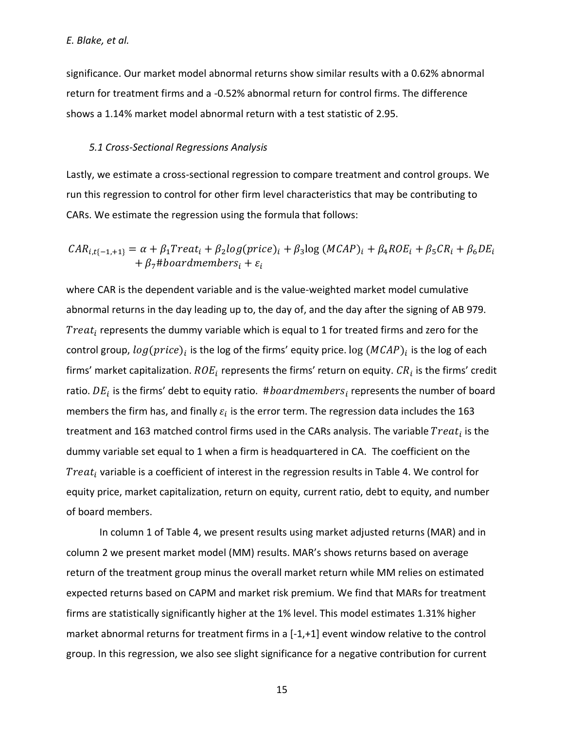significance. Our market model abnormal returns show similar results with a 0.62% abnormal return for treatment firms and a -0.52% abnormal return for control firms. The difference shows a 1.14% market model abnormal return with a test statistic of 2.95.

#### *5.1 Cross-Sectional Regressions Analysis*

Lastly, we estimate a cross-sectional regression to compare treatment and control groups. We run this regression to control for other firm level characteristics that may be contributing to CARs. We estimate the regression using the formula that follows:

$$
CAR_{i,t\{-1,+1\}} = \alpha + \beta_1 Treat_i + \beta_2 log(price)_i + \beta_3 log(MCAP)_i + \beta_4 ROE_i + \beta_5 CR_i + \beta_6 DE_i
$$
  
+  $\beta_7$ #boardmembers<sub>i</sub> +  $\varepsilon_i$ 

where CAR is the dependent variable and is the value-weighted market model cumulative abnormal returns in the day leading up to, the day of, and the day after the signing of AB 979.  $\textit{Treat}_i$  represents the dummy variable which is equal to 1 for treated firms and zero for the control group,  $log(price)_i$  is the log of the firms' equity price.  $log{(MCAP)}_i$  is the log of each firms' market capitalization.  $ROE_{i}$  represents the firms' return on equity.  $\mathit{CR}_{i}$  is the firms' credit ratio.  $DE_i$  is the firms' debt to equity ratio.  $\#boardmembers_i$  represents the number of board members the firm has, and finally  $\varepsilon_i$  is the error term. The regression data includes the 163 treatment and 163 matched control firms used in the CARs analysis. The variable  $Treat_i$  is the dummy variable set equal to 1 when a firm is headquartered in CA. The coefficient on the Treat<sub>i</sub> variable is a coefficient of interest in the regression results in Table 4. We control for equity price, market capitalization, return on equity, current ratio, debt to equity, and number of board members.

In column 1 of Table 4, we present results using market adjusted returns (MAR) and in column 2 we present market model (MM) results. MAR's shows returns based on average return of the treatment group minus the overall market return while MM relies on estimated expected returns based on CAPM and market risk premium. We find that MARs for treatment firms are statistically significantly higher at the 1% level. This model estimates 1.31% higher market abnormal returns for treatment firms in a [-1,+1] event window relative to the control group. In this regression, we also see slight significance for a negative contribution for current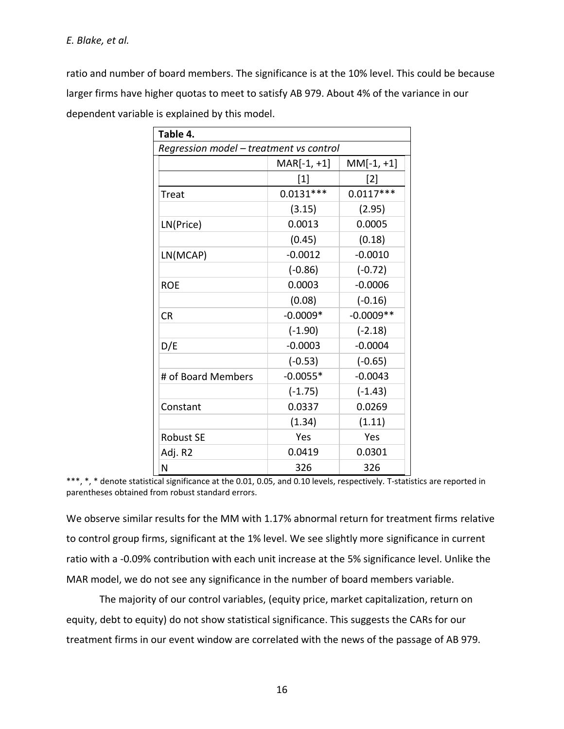ratio and number of board members. The significance is at the 10% level. This could be because larger firms have higher quotas to meet to satisfy AB 979. About 4% of the variance in our dependent variable is explained by this model.

| Table 4.                                |                               |             |  |  |  |
|-----------------------------------------|-------------------------------|-------------|--|--|--|
| Regression model - treatment vs control |                               |             |  |  |  |
|                                         | $MM[-1, +1]$<br>$MAR[-1, +1]$ |             |  |  |  |
|                                         | $[1]$                         | $[2]$       |  |  |  |
| Treat                                   | $0.0131***$                   | $0.0117***$ |  |  |  |
|                                         | (3.15)                        | (2.95)      |  |  |  |
| LN(Price)                               | 0.0013                        | 0.0005      |  |  |  |
|                                         | (0.45)                        | (0.18)      |  |  |  |
| LN(MCAP)                                | $-0.0012$                     | $-0.0010$   |  |  |  |
|                                         | $(-0.86)$                     | $(-0.72)$   |  |  |  |
| <b>ROE</b>                              | 0.0003                        | $-0.0006$   |  |  |  |
|                                         | (0.08)                        | $(-0.16)$   |  |  |  |
| <b>CR</b>                               | $-0.0009*$                    | $-0.0009**$ |  |  |  |
|                                         | $(-1.90)$                     | $(-2.18)$   |  |  |  |
| D/E                                     | $-0.0003$                     | $-0.0004$   |  |  |  |
|                                         | $(-0.53)$                     | $(-0.65)$   |  |  |  |
| # of Board Members                      | $-0.0055*$                    | $-0.0043$   |  |  |  |
|                                         | $(-1.75)$                     | $(-1.43)$   |  |  |  |
| Constant                                | 0.0337                        | 0.0269      |  |  |  |
|                                         | (1.34)                        | (1.11)      |  |  |  |
| <b>Robust SE</b>                        | Yes                           | Yes         |  |  |  |
| Adj. R2                                 | 0.0419                        | 0.0301      |  |  |  |
| N                                       | 326                           | 326         |  |  |  |

\*\*\*, \*, \* denote statistical significance at the 0.01, 0.05, and 0.10 levels, respectively. T-statistics are reported in parentheses obtained from robust standard errors.

We observe similar results for the MM with 1.17% abnormal return for treatment firms relative to control group firms, significant at the 1% level. We see slightly more significance in current ratio with a -0.09% contribution with each unit increase at the 5% significance level. Unlike the MAR model, we do not see any significance in the number of board members variable.

The majority of our control variables, (equity price, market capitalization, return on equity, debt to equity) do not show statistical significance. This suggests the CARs for our treatment firms in our event window are correlated with the news of the passage of AB 979.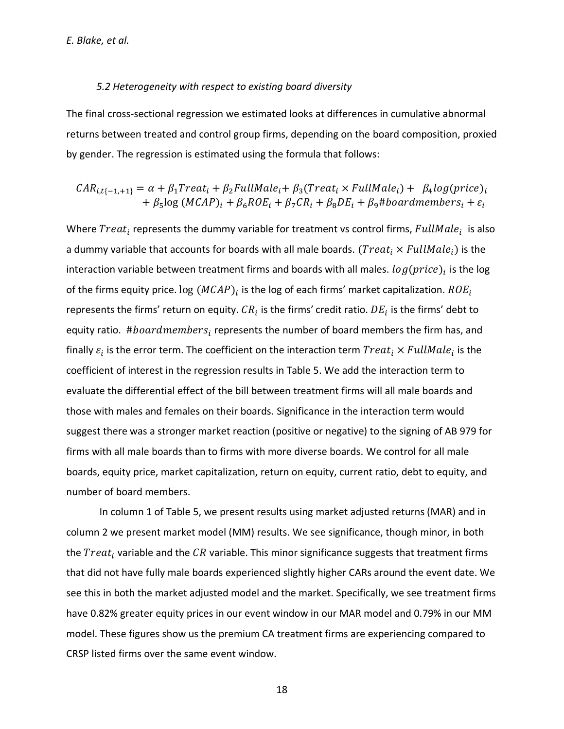#### *5.2 Heterogeneity with respect to existing board diversity*

The final cross-sectional regression we estimated looks at differences in cumulative abnormal returns between treated and control group firms, depending on the board composition, proxied by gender. The regression is estimated using the formula that follows:

$$
CAR_{i,t\{-1,+1\}} = \alpha + \beta_1 Treat_i + \beta_2 FullMale_i + \beta_3(Treat_i \times FullMale_i) + \beta_4 log(price)_i
$$
  
+  $\beta_5 log (MCAP)_i + \beta_6 ROE_i + \beta_7 CR_i + \beta_8 DE_i + \beta_9 #board members_i + \varepsilon_i$ 

Where  $\text{Treat}_i$  represents the dummy variable for treatment vs control firms,  $\textit{FullMale}_i$  is also a dummy variable that accounts for boards with all male boards.  $(Treat_i \times FullMale_i)$  is the interaction variable between treatment firms and boards with all males.  $log(price)_i$  is the log of the firms equity price.  $\log{(MCAP)_i}$  is the log of each firms' market capitalization.  $ROE_i$ represents the firms' return on equity.  $CR_i$  is the firms' credit ratio.  $DE_i$  is the firms' debt to equity ratio.  $\#board members_i$  represents the number of board members the firm has, and finally  $\varepsilon_i$  is the error term. The coefficient on the interaction term  $Treat_i \times FullMale_i$  is the coefficient of interest in the regression results in Table 5. We add the interaction term to evaluate the differential effect of the bill between treatment firms will all male boards and those with males and females on their boards. Significance in the interaction term would suggest there was a stronger market reaction (positive or negative) to the signing of AB 979 for firms with all male boards than to firms with more diverse boards. We control for all male boards, equity price, market capitalization, return on equity, current ratio, debt to equity, and number of board members.

In column 1 of Table 5, we present results using market adjusted returns (MAR) and in column 2 we present market model (MM) results. We see significance, though minor, in both the  $Treat_i$  variable and the  $CR$  variable. This minor significance suggests that treatment firms that did not have fully male boards experienced slightly higher CARs around the event date. We see this in both the market adjusted model and the market. Specifically, we see treatment firms have 0.82% greater equity prices in our event window in our MAR model and 0.79% in our MM model. These figures show us the premium CA treatment firms are experiencing compared to CRSP listed firms over the same event window.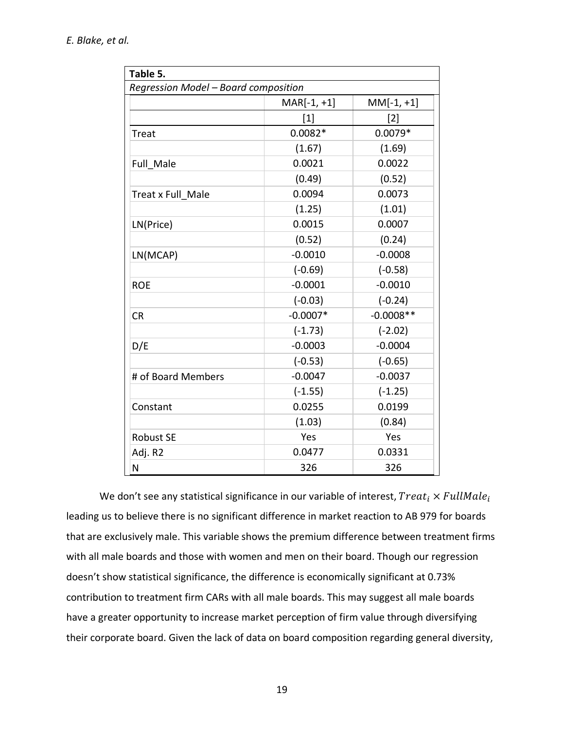| Table 5.                             |               |              |  |  |  |
|--------------------------------------|---------------|--------------|--|--|--|
| Regression Model - Board composition |               |              |  |  |  |
|                                      | $MAR[-1, +1]$ | $MM[-1, +1]$ |  |  |  |
|                                      | $[1]$         | $[2]$        |  |  |  |
| <b>Treat</b>                         | $0.0082*$     | $0.0079*$    |  |  |  |
|                                      | (1.67)        | (1.69)       |  |  |  |
| Full Male                            | 0.0021        | 0.0022       |  |  |  |
|                                      | (0.49)        | (0.52)       |  |  |  |
| Treat x Full Male                    | 0.0094        | 0.0073       |  |  |  |
|                                      | (1.25)        | (1.01)       |  |  |  |
| LN(Price)                            | 0.0015        | 0.0007       |  |  |  |
|                                      | (0.52)        | (0.24)       |  |  |  |
| LN(MCAP)                             | $-0.0010$     | $-0.0008$    |  |  |  |
|                                      | $(-0.69)$     | $(-0.58)$    |  |  |  |
| <b>ROE</b>                           | $-0.0001$     | $-0.0010$    |  |  |  |
|                                      | $(-0.03)$     | $(-0.24)$    |  |  |  |
| <b>CR</b>                            | $-0.0007*$    | $-0.0008**$  |  |  |  |
|                                      | $(-1.73)$     | $(-2.02)$    |  |  |  |
| D/E                                  | $-0.0003$     | $-0.0004$    |  |  |  |
|                                      | $(-0.53)$     | $(-0.65)$    |  |  |  |
| # of Board Members                   | $-0.0047$     | $-0.0037$    |  |  |  |
|                                      | $(-1.55)$     | $(-1.25)$    |  |  |  |
| Constant                             | 0.0255        | 0.0199       |  |  |  |
|                                      | (1.03)        | (0.84)       |  |  |  |
| <b>Robust SE</b>                     | Yes           | Yes          |  |  |  |
| Adj. R2                              | 0.0477        | 0.0331       |  |  |  |
| N                                    | 326           | 326          |  |  |  |

We don't see any statistical significance in our variable of interest,  $Treat_i \times FullMale_i$ leading us to believe there is no significant difference in market reaction to AB 979 for boards that are exclusively male. This variable shows the premium difference between treatment firms with all male boards and those with women and men on their board. Though our regression doesn't show statistical significance, the difference is economically significant at 0.73% contribution to treatment firm CARs with all male boards. This may suggest all male boards have a greater opportunity to increase market perception of firm value through diversifying their corporate board. Given the lack of data on board composition regarding general diversity,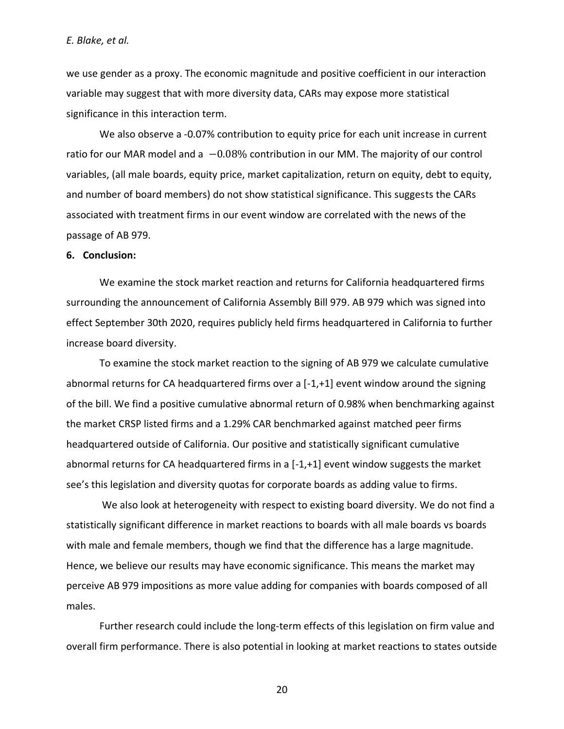we use gender as a proxy. The economic magnitude and positive coefficient in our interaction variable may suggest that with more diversity data, CARs may expose more statistical significance in this interaction term.

We also observe a -0.07% contribution to equity price for each unit increase in current ratio for our MAR model and a  $-0.08\%$  contribution in our MM. The majority of our control variables, (all male boards, equity price, market capitalization, return on equity, debt to equity, and number of board members) do not show statistical significance. This suggests the CARs associated with treatment firms in our event window are correlated with the news of the passage of AB 979.

#### **6. Conclusion:**

We examine the stock market reaction and returns for California headquartered firms surrounding the announcement of California Assembly Bill 979. AB 979 which was signed into effect September 30th 2020, requires publicly held firms headquartered in California to further increase board diversity.

To examine the stock market reaction to the signing of AB 979 we calculate cumulative abnormal returns for CA headquartered firms over a [-1,+1] event window around the signing of the bill. We find a positive cumulative abnormal return of 0.98% when benchmarking against the market CRSP listed firms and a 1.29% CAR benchmarked against matched peer firms headquartered outside of California. Our positive and statistically significant cumulative abnormal returns for CA headquartered firms in a  $[-1, +1]$  event window suggests the market see's this legislation and diversity quotas for corporate boards as adding value to firms.

We also look at heterogeneity with respect to existing board diversity. We do not find a statistically significant difference in market reactions to boards with all male boards vs boards with male and female members, though we find that the difference has a large magnitude. Hence, we believe our results may have economic significance. This means the market may perceive AB 979 impositions as more value adding for companies with boards composed of all males.

Further research could include the long-term effects of this legislation on firm value and overall firm performance. There is also potential in looking at market reactions to states outside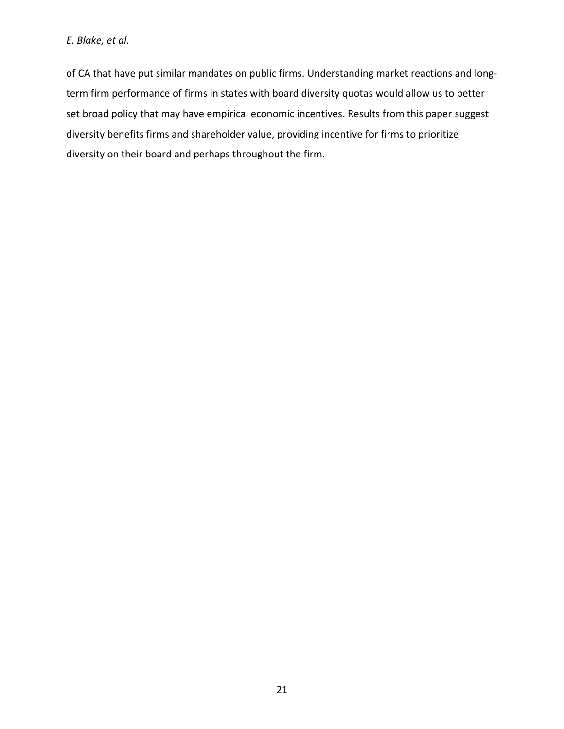of CA that have put similar mandates on public firms. Understanding market reactions and longterm firm performance of firms in states with board diversity quotas would allow us to better set broad policy that may have empirical economic incentives. Results from this paper suggest diversity benefits firms and shareholder value, providing incentive for firms to prioritize diversity on their board and perhaps throughout the firm.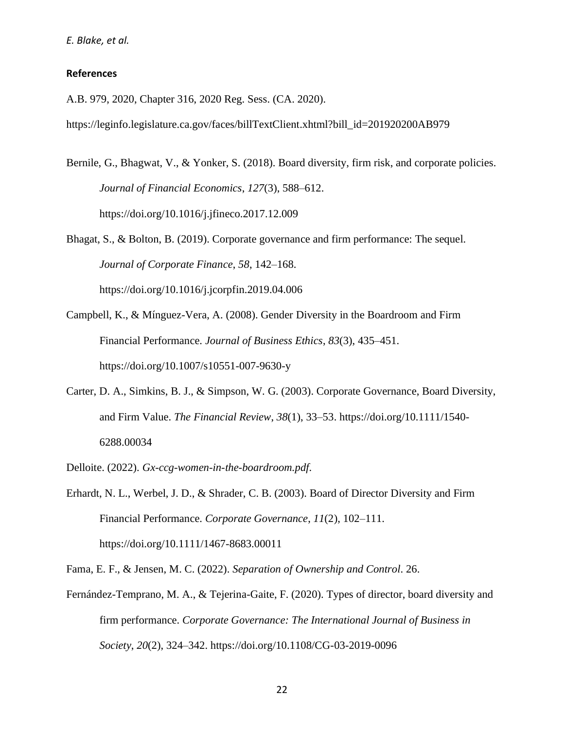#### **References**

A.B. 979, 2020, Chapter 316, 2020 Reg. Sess. (CA. 2020).

https://leginfo.legislature.ca.gov/faces/billTextClient.xhtml?bill\_id=201920200AB979

Bernile, G., Bhagwat, V., & Yonker, S. (2018). Board diversity, firm risk, and corporate policies. *Journal of Financial Economics*, *127*(3), 588–612. https://doi.org/10.1016/j.jfineco.2017.12.009

Bhagat, S., & Bolton, B. (2019). Corporate governance and firm performance: The sequel. *Journal of Corporate Finance*, *58*, 142–168. https://doi.org/10.1016/j.jcorpfin.2019.04.006

- Campbell, K., & Mínguez-Vera, A. (2008). Gender Diversity in the Boardroom and Firm Financial Performance. *Journal of Business Ethics*, *83*(3), 435–451. https://doi.org/10.1007/s10551-007-9630-y
- Carter, D. A., Simkins, B. J., & Simpson, W. G. (2003). Corporate Governance, Board Diversity, and Firm Value. *The Financial Review*, *38*(1), 33–53. https://doi.org/10.1111/1540- 6288.00034
- Delloite. (2022). *Gx-ccg-women-in-the-boardroom.pdf*.

Erhardt, N. L., Werbel, J. D., & Shrader, C. B. (2003). Board of Director Diversity and Firm Financial Performance. *Corporate Governance*, *11*(2), 102–111. https://doi.org/10.1111/1467-8683.00011

Fama, E. F., & Jensen, M. C. (2022). *Separation of Ownership and Control*. 26.

Fernández-Temprano, M. A., & Tejerina-Gaite, F. (2020). Types of director, board diversity and firm performance. *Corporate Governance: The International Journal of Business in Society*, *20*(2), 324–342. https://doi.org/10.1108/CG-03-2019-0096